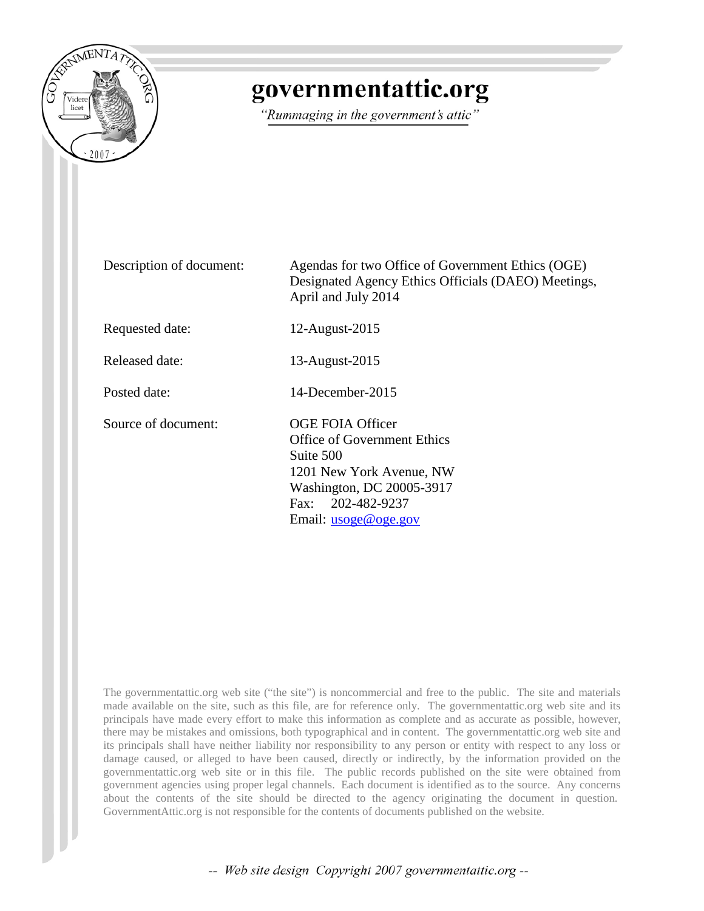

# governmentattic.org

"Rummaging in the government's attic"

Description of document: Agendas for two Office of Government Ethics (OGE) Designated Agency Ethics Officials (DAEO) Meetings, April and July 2014 Requested date: 12-August-2015 Released date: 13-August-2015 Posted date: 14-December-2015 Source of document: OGE FOIA Officer Office of Government Ethics Suite 500 1201 New York Avenue, NW Washington, DC 20005-3917 Fax: 202-482-9237 Email: [usoge@oge.gov](mailto:usoge@oge.gov?subject=Link%20to%20e-mail%20address)

The governmentattic.org web site ("the site") is noncommercial and free to the public. The site and materials made available on the site, such as this file, are for reference only. The governmentattic.org web site and its principals have made every effort to make this information as complete and as accurate as possible, however, there may be mistakes and omissions, both typographical and in content. The governmentattic.org web site and its principals shall have neither liability nor responsibility to any person or entity with respect to any loss or damage caused, or alleged to have been caused, directly or indirectly, by the information provided on the governmentattic.org web site or in this file. The public records published on the site were obtained from government agencies using proper legal channels. Each document is identified as to the source. Any concerns about the contents of the site should be directed to the agency originating the document in question. GovernmentAttic.org is not responsible for the contents of documents published on the website.

-- Web site design Copyright 2007 governmentattic.org --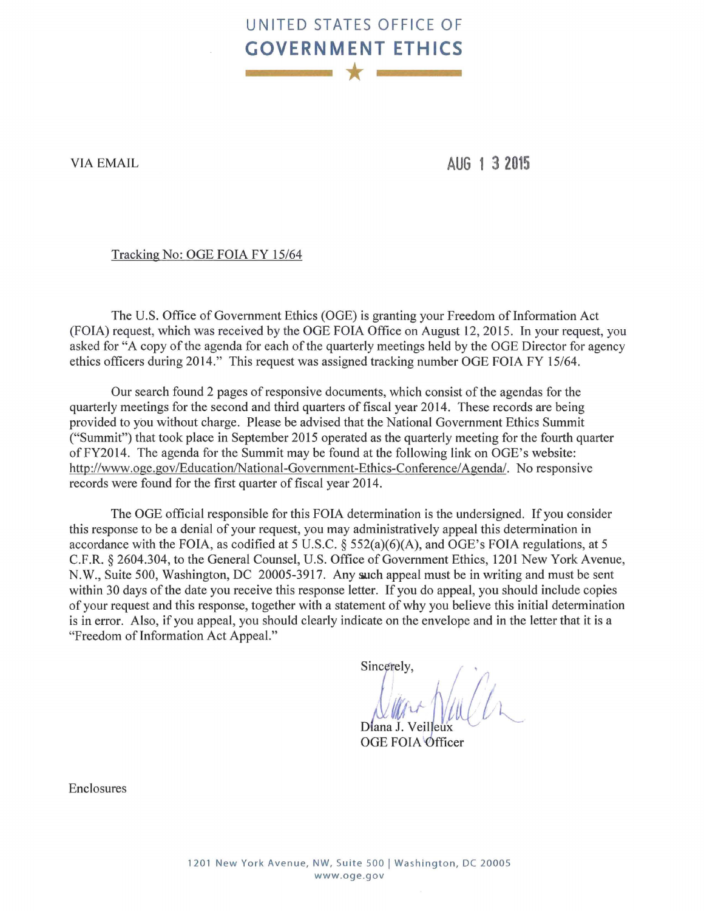## **UNITED STATES OFFICE OF GOVERNMENT ETHICS**  \*

VIA EMAIL

**AUG 1 3 2015** 

#### Tracking No: OGE FOIA FY 15/64

The U.S. Office of Government Ethics (OGE) is granting your Freedom of Information Act (FOIA) request, which was received by the OGE FOIA Office on August 12, 2015. In your request, you asked for "A copy of the agenda for each of the quarterly meetings held by the OGE Director for agency ethics officers during 2014." This request was assigned tracking number OGE FOIA FY 15/64.

Our search found 2 pages of responsive documents, which consist of the agendas for the quarterly meetings for the second and third quarters of fiscal year 2014. These records are being provided to you without charge. Please be advised that the National Government Ethics Summit ("Summit") that took place in September 2015 operated as the quarterly meeting for the fourth quarter of FY2014. The agenda for the Summit may be found at the following link on OGE's website: http://www.oge.gov/Education/National-Government-Ethics-Conference/Agenda/. No responsive records were found for the first quarter of fiscal year 2014.

The OGE official responsible for this FOIA determination is the undersigned. If you consider this response to be a denial of your request, you may administratively appeal this determination in accordance with the FOIA, as codified at 5 U.S.C. § 552(a)(6)(A), and OGE's FOIA regulations, at 5 C.F.R. § 2604.304, to the General Counsel, U.S. Office of Government Ethics, 1201 New York Avenue, N.W., Suite 500, Washington, DC 20005-3917. Any such appeal must be in writing and must be sent within 30 days of the date you receive this response letter. If you do appeal, you should include copies of your request and this response, together with a statement of why you believe this initial determination is in error. Also, if you appeal, you should clearly indicate on the envelope and in the letter that it is a "Freedom of Information Act Appeal."

Sincerely,

Diana J. Veilleux

OGE FOIA Officer

Enclosures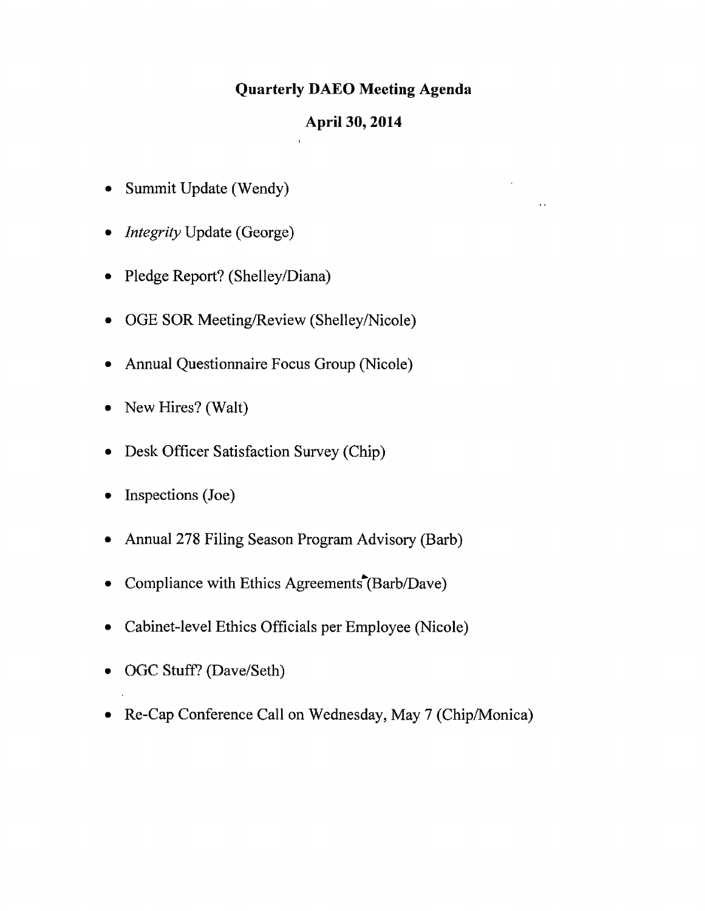### **Quarterly DAEO Meeting Agenda**

#### **April 30, 2014**

- Summit Update (Wendy)
- *Integrity* Update (George)
- Pledge Report? (Shelley/Diana)
- OGE SOR Meeting/Review (Shelley/Nicole)
- Annual Questionnaire Focus Group (Nicole)
- New Hires? (Walt)
- Desk Officer Satisfaction Survey (Chip)
- Inspections (Joe)
- Annual 278 Filing Season Program Advisory (Barb)
- Compliance with Ethics Agreements  $(Barb/Dave)$
- Cabinet-level Ethics Officials per Employee (Nicole)
- OGC Stuff? (Dave/Seth)
- Re-Cap Conference Call on Wednesday, May 7 (Chip/Monica)